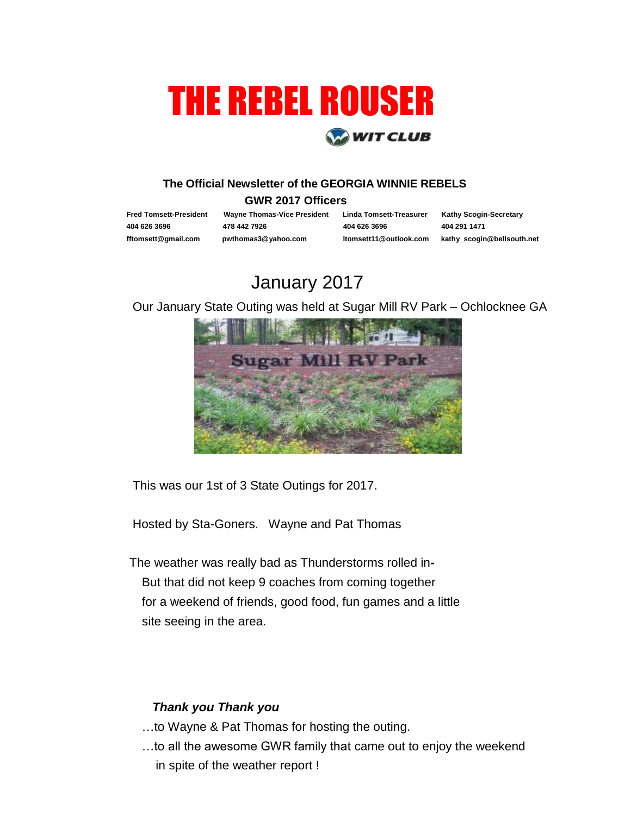# THE REBEL ROUSER **WIT CLUB**

#### **The Official Newsletter of the GEORGIA WINNIE REBELS**

#### **GWR 2017 Officers**

 **Fred Tomsett-President Wayne Thomas-Vice President Linda Tomsett-Treasurer Kathy Scogin-Secretary** 

 **404 626 3696 478 442 7926 404 626 3696 404 291 1471**

 **fftomsett@gmail.com pwthomas3@yahoo.com ltomsett11@outlook.com kathy\_scogin@bellsouth.net** 

## January 2017

Our January State Outing was held at Sugar Mill RV Park – Ochlocknee GA



This was our 1st of 3 State Outings for 2017.

Hosted by Sta-Goners. Wayne and Pat Thomas

The weather was really bad as Thunderstorms rolled in**-**But that did not keep 9 coaches from coming together for a weekend of friends, good food, fun games and a little site seeing in the area.

### *Thank you Thank you*

- …to Wayne & Pat Thomas for hosting the outing.
- …to all the awesome GWR family that came out to enjoy the weekend in spite of the weather report !